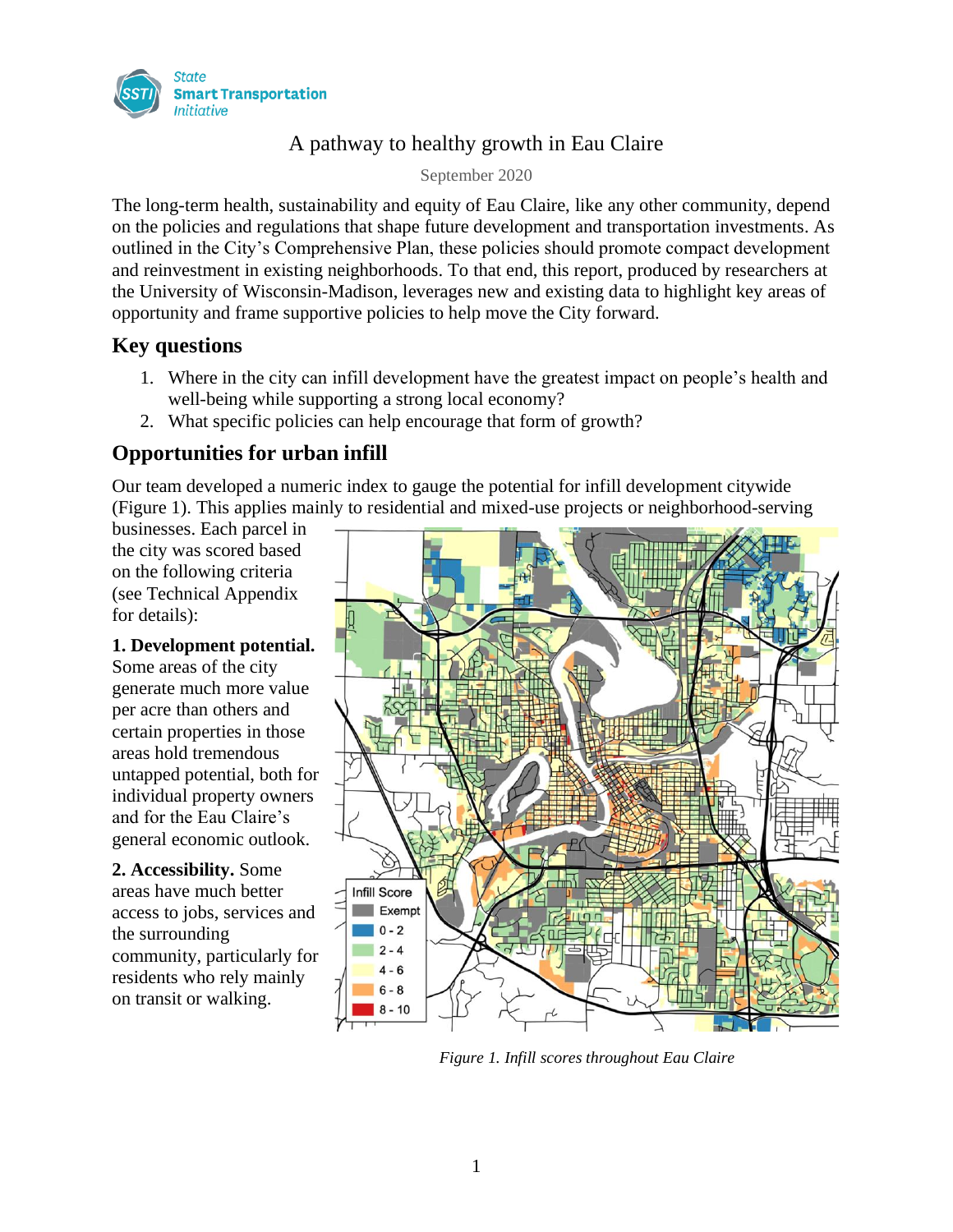

# A pathway to healthy growth in Eau Claire

September 2020

The long-term health, sustainability and equity of Eau Claire, like any other community, depend on the policies and regulations that shape future development and transportation investments. As outlined in the City's Comprehensive Plan, these policies should promote compact development and reinvestment in existing neighborhoods. To that end, this report, produced by researchers at the University of Wisconsin-Madison, leverages new and existing data to highlight key areas of opportunity and frame supportive policies to help move the City forward.

# **Key questions**

- 1. Where in the city can infill development have the greatest impact on people's health and well-being while supporting a strong local economy?
- 2. What specific policies can help encourage that form of growth?

# **Opportunities for urban infill**

Our team developed a numeric index to gauge the potential for infill development citywide (Figure 1). This applies mainly to residential and mixed-use projects or neighborhood-serving

businesses. Each parcel in the city was scored based on the following criteria (see Technical Appendix for details):

#### **1. Development potential.**

Some areas of the city generate much more value per acre than others and certain properties in those areas hold tremendous untapped potential, both for individual property owners and for the Eau Claire's general economic outlook.

**2. Accessibility.** Some areas have much better access to jobs, services and the surrounding community, particularly for residents who rely mainly on transit or walking.



*Figure 1. Infill scores throughout Eau Claire*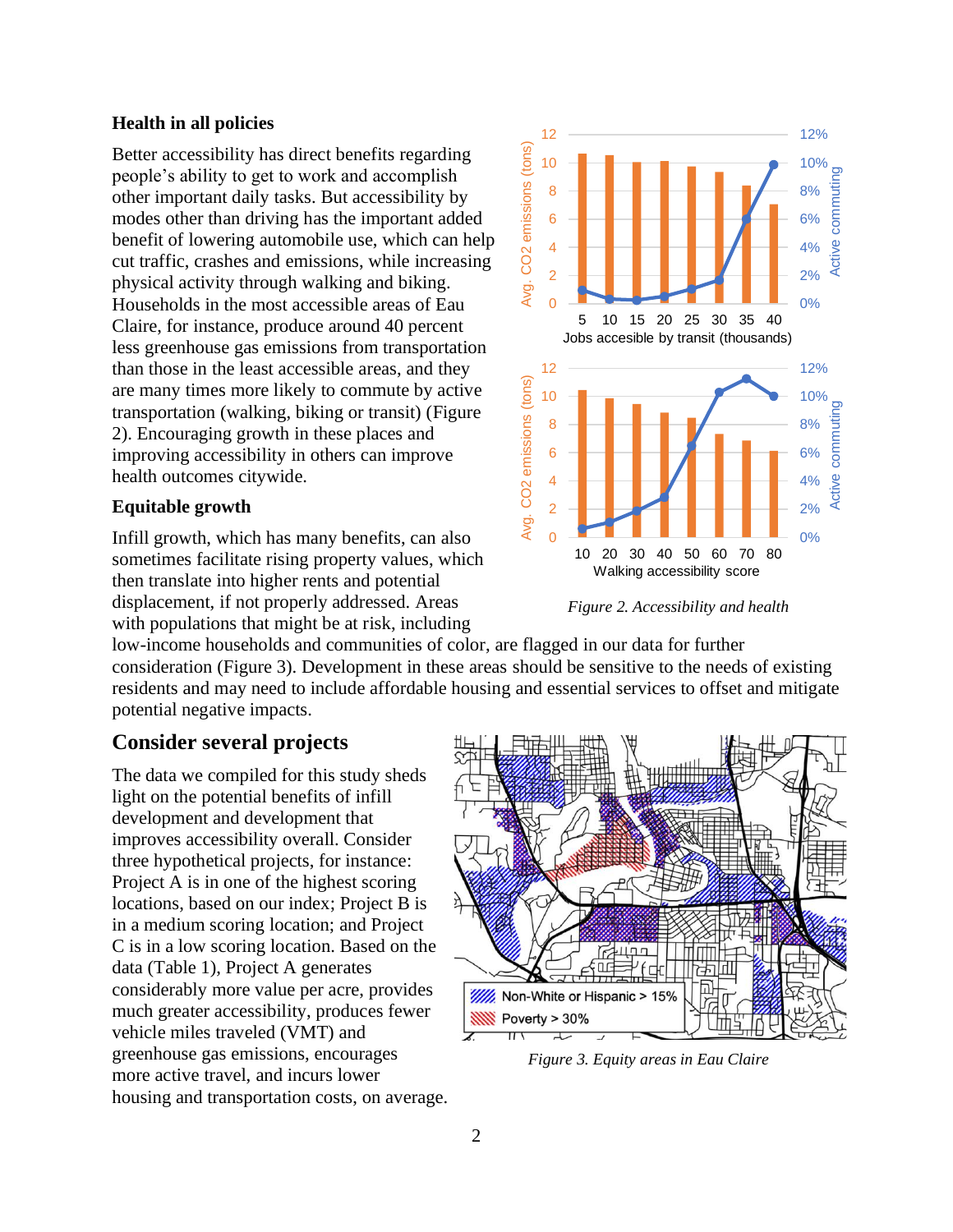#### **Health in all policies**

Better accessibility has direct benefits regarding people's ability to get to work and accomplish other important daily tasks. But accessibility by modes other than driving has the important added benefit of lowering automobile use, which can help cut traffic, crashes and emissions, while increasing physical activity through walking and biking. Households in the most accessible areas of Eau Claire, for instance, produce around 40 percent less greenhouse gas emissions from transportation than those in the least accessible areas, and they are many times more likely to commute by active transportation (walking, biking or transit) (Figure 2). Encouraging growth in these places and improving accessibility in others can improve health outcomes citywide.

#### **Equitable growth**

Infill growth, which has many benefits, can also sometimes facilitate rising property values, which then translate into higher rents and potential displacement, if not properly addressed. Areas with populations that might be at risk, including



*Figure 2. Accessibility and health*

low-income households and communities of color, are flagged in our data for further consideration (Figure 3). Development in these areas should be sensitive to the needs of existing residents and may need to include affordable housing and essential services to offset and mitigate potential negative impacts.

## **Consider several projects**

The data we compiled for this study sheds light on the potential benefits of infill development and development that improves accessibility overall. Consider three hypothetical projects, for instance: Project A is in one of the highest scoring locations, based on our index; Project B is in a medium scoring location; and Project C is in a low scoring location. Based on the data (Table 1), Project A generates considerably more value per acre, provides much greater accessibility, produces fewer vehicle miles traveled (VMT) and greenhouse gas emissions, encourages more active travel, and incurs lower housing and transportation costs, on average.



*Figure 3. Equity areas in Eau Claire*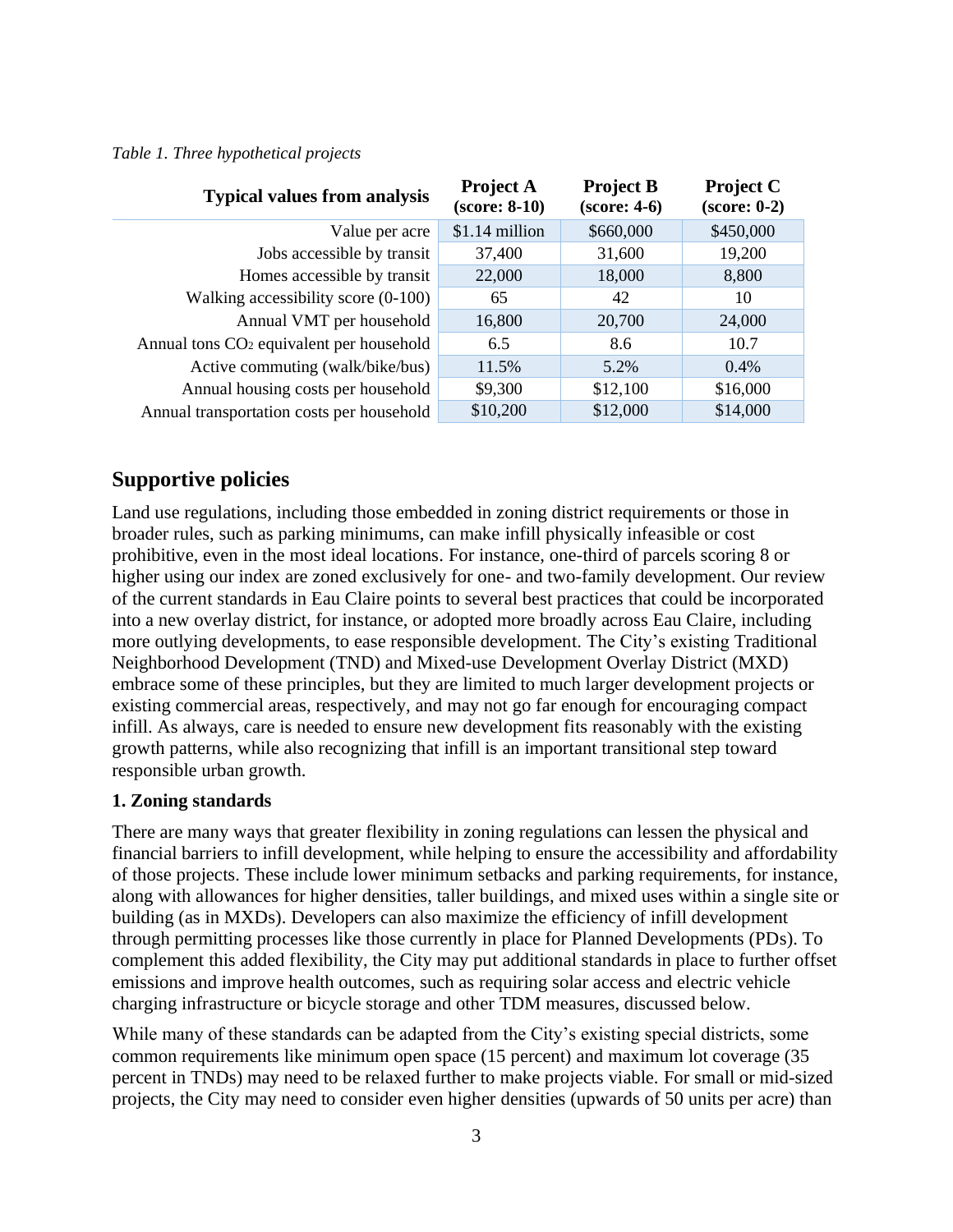#### *Table 1. Three hypothetical projects*

| <b>Typical values from analysis</b>                  | <b>Project A</b><br>$(score: 8-10)$ | <b>Project B</b><br>$(score: 4-6)$ | <b>Project C</b><br>$(\text{score}: 0-2)$ |
|------------------------------------------------------|-------------------------------------|------------------------------------|-------------------------------------------|
| Value per acre                                       | \$1.14 million                      | \$660,000                          | \$450,000                                 |
| Jobs accessible by transit                           | 37,400                              | 31,600                             | 19,200                                    |
| Homes accessible by transit                          | 22,000                              | 18,000                             | 8,800                                     |
| Walking accessibility score $(0-100)$                | 65                                  | 42                                 | 10                                        |
| Annual VMT per household                             | 16,800                              | 20,700                             | 24,000                                    |
| Annual tons CO <sub>2</sub> equivalent per household | 6.5                                 | 8.6                                | 10.7                                      |
| Active commuting (walk/bike/bus)                     | 11.5%                               | 5.2%                               | 0.4%                                      |
| Annual housing costs per household                   | \$9,300                             | \$12,100                           | \$16,000                                  |
| Annual transportation costs per household            | \$10,200                            | \$12,000                           | \$14,000                                  |

### **Supportive policies**

Land use regulations, including those embedded in zoning district requirements or those in broader rules, such as parking minimums, can make infill physically infeasible or cost prohibitive, even in the most ideal locations. For instance, one-third of parcels scoring 8 or higher using our index are zoned exclusively for one- and two-family development. Our review of the current standards in Eau Claire points to several best practices that could be incorporated into a new overlay district, for instance, or adopted more broadly across Eau Claire, including more outlying developments, to ease responsible development. The City's existing Traditional Neighborhood Development (TND) and Mixed-use Development Overlay District (MXD) embrace some of these principles, but they are limited to much larger development projects or existing commercial areas, respectively, and may not go far enough for encouraging compact infill. As always, care is needed to ensure new development fits reasonably with the existing growth patterns, while also recognizing that infill is an important transitional step toward responsible urban growth.

#### **1. Zoning standards**

There are many ways that greater flexibility in zoning regulations can lessen the physical and financial barriers to infill development, while helping to ensure the accessibility and affordability of those projects. These include lower minimum setbacks and parking requirements, for instance, along with allowances for higher densities, taller buildings, and mixed uses within a single site or building (as in MXDs). Developers can also maximize the efficiency of infill development through permitting processes like those currently in place for Planned Developments (PDs). To complement this added flexibility, the City may put additional standards in place to further offset emissions and improve health outcomes, such as requiring solar access and electric vehicle charging infrastructure or bicycle storage and other TDM measures, discussed below.

While many of these standards can be adapted from the City's existing special districts, some common requirements like minimum open space (15 percent) and maximum lot coverage (35 percent in TNDs) may need to be relaxed further to make projects viable. For small or mid-sized projects, the City may need to consider even higher densities (upwards of 50 units per acre) than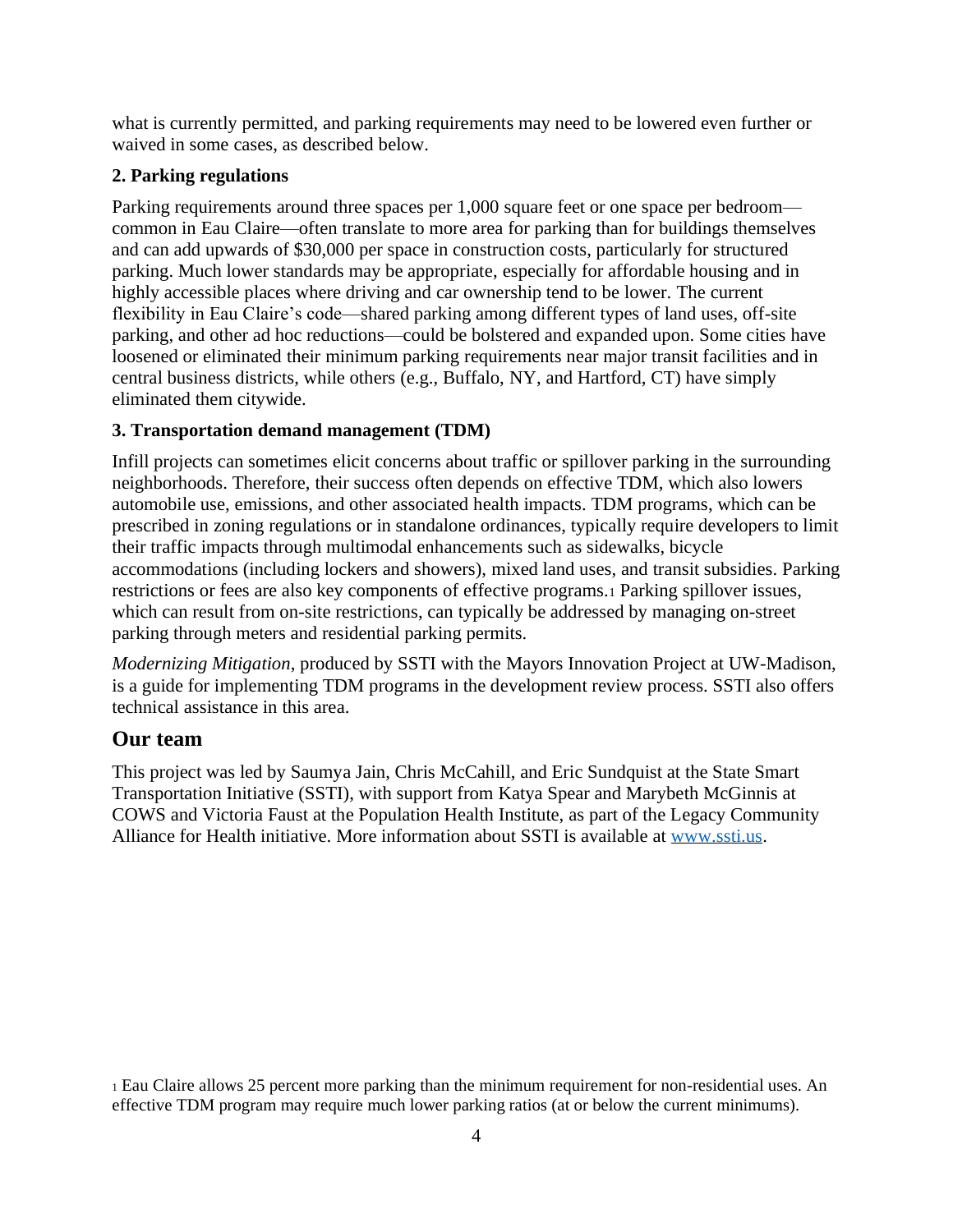what is currently permitted, and parking requirements may need to be lowered even further or waived in some cases, as described below.

## **2. Parking regulations**

Parking requirements around three spaces per 1,000 square feet or one space per bedroom common in Eau Claire—often translate to more area for parking than for buildings themselves and can add upwards of \$30,000 per space in construction costs, particularly for structured parking. Much lower standards may be appropriate, especially for affordable housing and in highly accessible places where driving and car ownership tend to be lower. The current flexibility in Eau Claire's code—shared parking among different types of land uses, off-site parking, and other ad hoc reductions—could be bolstered and expanded upon. Some cities have loosened or eliminated their minimum parking requirements near major transit facilities and in central business districts, while others (e.g., Buffalo, NY, and Hartford, CT) have simply eliminated them citywide.

## **3. Transportation demand management (TDM)**

Infill projects can sometimes elicit concerns about traffic or spillover parking in the surrounding neighborhoods. Therefore, their success often depends on effective TDM, which also lowers automobile use, emissions, and other associated health impacts. TDM programs, which can be prescribed in zoning regulations or in standalone ordinances, typically require developers to limit their traffic impacts through multimodal enhancements such as sidewalks, bicycle accommodations (including lockers and showers), mixed land uses, and transit subsidies. Parking restrictions or fees are also key components of effective programs.<sup>1</sup> Parking spillover issues, which can result from on-site restrictions, can typically be addressed by managing on-street parking through meters and residential parking permits.

*Modernizing Mitigation*, produced by SSTI with the Mayors Innovation Project at UW-Madison, is a guide for implementing TDM programs in the development review process. SSTI also offers technical assistance in this area.

## **Our team**

This project was led by Saumya Jain, Chris McCahill, and Eric Sundquist at the State Smart Transportation Initiative (SSTI), with support from Katya Spear and Marybeth McGinnis at COWS and Victoria Faust at the Population Health Institute, as part of the Legacy Community Alliance for Health initiative. More information about SSTI is available at [www.ssti.us.](http://ssti.us/)

<sup>1</sup> Eau Claire allows 25 percent more parking than the minimum requirement for non-residential uses. An effective TDM program may require much lower parking ratios (at or below the current minimums).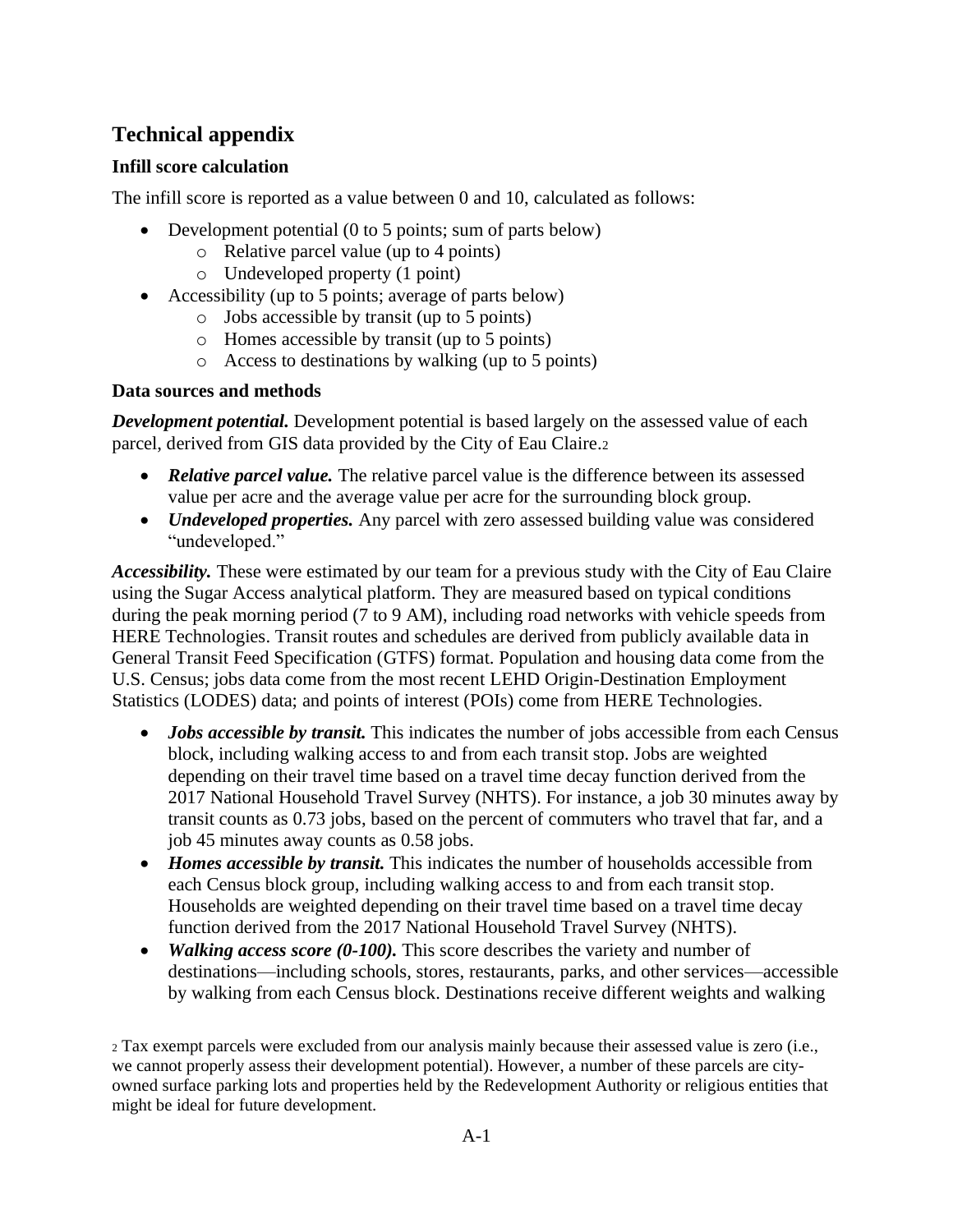# **Technical appendix**

## **Infill score calculation**

The infill score is reported as a value between 0 and 10, calculated as follows:

- Development potential (0 to 5 points; sum of parts below)
	- o Relative parcel value (up to 4 points)
	- o Undeveloped property (1 point)
- Accessibility (up to 5 points; average of parts below)
	- o Jobs accessible by transit (up to 5 points)
	- o Homes accessible by transit (up to 5 points)
	- o Access to destinations by walking (up to 5 points)

### **Data sources and methods**

*Development potential.* Development potential is based largely on the assessed value of each parcel, derived from GIS data provided by the City of Eau Claire.<sup>2</sup>

- *Relative parcel value.* The relative parcel value is the difference between its assessed value per acre and the average value per acre for the surrounding block group.
- *Undeveloped properties.* Any parcel with zero assessed building value was considered "undeveloped."

*Accessibility.* These were estimated by our team for a previous study with the City of Eau Claire using the Sugar Access analytical platform. They are measured based on typical conditions during the peak morning period (7 to 9 AM), including road networks with vehicle speeds from HERE Technologies. Transit routes and schedules are derived from publicly available data in General Transit Feed Specification (GTFS) format. Population and housing data come from the U.S. Census; jobs data come from the most recent LEHD Origin-Destination Employment Statistics (LODES) data; and points of interest (POIs) come from HERE Technologies.

- *Jobs accessible by transit.* This indicates the number of jobs accessible from each Census block, including walking access to and from each transit stop. Jobs are weighted depending on their travel time based on a travel time decay function derived from the 2017 National Household Travel Survey (NHTS). For instance, a job 30 minutes away by transit counts as 0.73 jobs, based on the percent of commuters who travel that far, and a job 45 minutes away counts as 0.58 jobs.
- *Homes accessible by transit.* This indicates the number of households accessible from each Census block group, including walking access to and from each transit stop. Households are weighted depending on their travel time based on a travel time decay function derived from the 2017 National Household Travel Survey (NHTS).
- *Walking access score (0-100)*. This score describes the variety and number of destinations—including schools, stores, restaurants, parks, and other services—accessible by walking from each Census block. Destinations receive different weights and walking

<sup>2</sup> Tax exempt parcels were excluded from our analysis mainly because their assessed value is zero (i.e., we cannot properly assess their development potential). However, a number of these parcels are cityowned surface parking lots and properties held by the Redevelopment Authority or religious entities that might be ideal for future development.